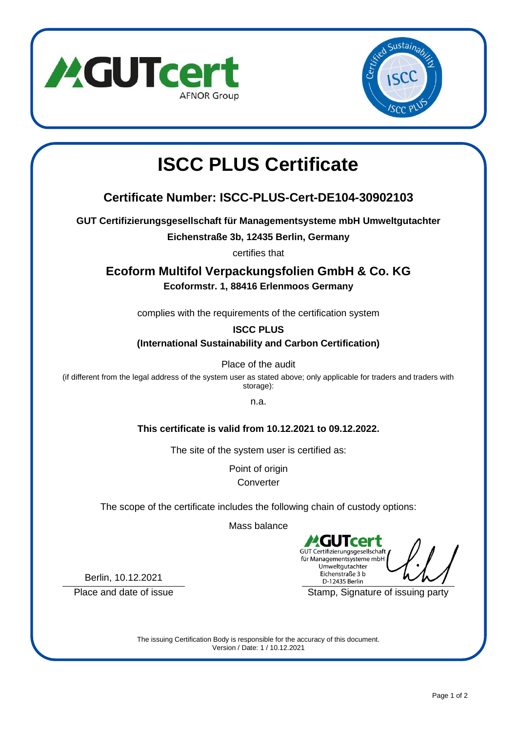



# **ISCC PLUS Certificate**

## **Certificate Number: ISCC-PLUS-Cert-DE104-30902103**

**GUT Certifizierungsgesellschaft für Managementsysteme mbH Umweltgutachter**

**Eichenstraße 3b, 12435 Berlin, Germany**

certifies that

**Ecoform Multifol Verpackungsfolien GmbH & Co. KG Ecoformstr. 1, 88416 Erlenmoos Germany**

complies with the requirements of the certification system

**ISCC PLUS**

**(International Sustainability and Carbon Certification)**

Place of the audit

(if different from the legal address of the system user as stated above; only applicable for traders and traders with storage):

n.a.

**This certificate is valid from 10.12.2021 to 09.12.2022.**

The site of the system user is certified as:

Point of origin **Converter** 

The scope of the certificate includes the following chain of custody options:

Mass balance

2.GU **Tcert** GUT Certifizierungsgesellschaft für Managementsysteme mbH Umweltgutachter Eichenstraße 3 b D-12435 Berlin

Place and date of issue The Stamp, Signature of issuing party

Berlin, 10.12.2021

The issuing Certification Body is responsible for the accuracy of this document. Version / Date: 1 / 10.12.2021